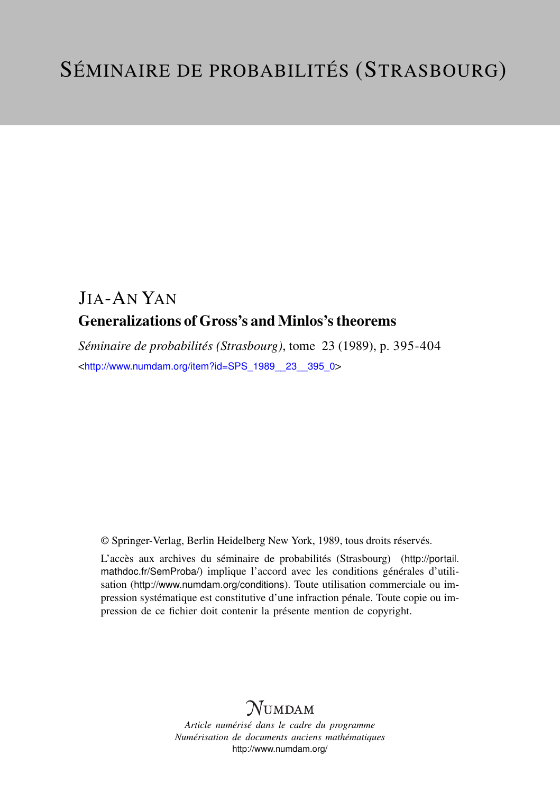## JIA-AN YAN Generalizations of Gross's and Minlos's theorems

*Séminaire de probabilités (Strasbourg)*, tome 23 (1989), p. 395-404 <[http://www.numdam.org/item?id=SPS\\_1989\\_\\_23\\_\\_395\\_0](http://www.numdam.org/item?id=SPS_1989__23__395_0)>

© Springer-Verlag, Berlin Heidelberg New York, 1989, tous droits réservés.

L'accès aux archives du séminaire de probabilités (Strasbourg) ([http://portail.](http://portail.mathdoc.fr/SemProba/) [mathdoc.fr/SemProba/](http://portail.mathdoc.fr/SemProba/)) implique l'accord avec les conditions générales d'utilisation (<http://www.numdam.org/conditions>). Toute utilisation commerciale ou impression systématique est constitutive d'une infraction pénale. Toute copie ou impression de ce fichier doit contenir la présente mention de copyright.

# **NUMDAM**

*Article numérisé dans le cadre du programme Numérisation de documents anciens mathématiques* <http://www.numdam.org/>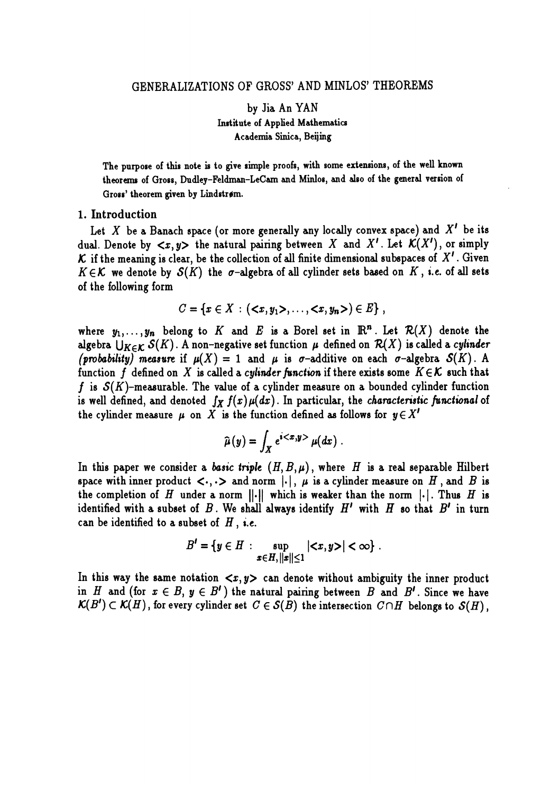by Jia An YAN Institute of Applied Mathematics Academia Sinica, Beijing

The purpose of this note is to give simple proofs, with some extensions, of the well known theorems of Gross, Dudley-Feldman-LeCam and Minlos, and also of the general version of Gross' theorem given by Lindstrøm.

#### 1. Introduction

Let X be a Banach space (or more generally any locally convex space) and  $X'$  be its dual. Denote by  $\langle x, y \rangle$  the natural pairing between X and X'. Let  $\mathcal{K}(X')$ , or simply  $\mathcal K$  if the meaning is clear, be the collection of all finite dimensional subspaces of X'. Given  $K \in \mathcal{K}$  we denote by  $\mathcal{S}(K)$  the  $\sigma$ -algebra of all cylinder sets based on  $K$ , i.e. of all sets of the following form

$$
C = \{x \in X : (\langle x, y_1 \rangle, \ldots, \langle x, y_n \rangle) \in E\},\,
$$

where  $y_1, \ldots, y_n$  belong to K and E is a Borel set in  $\mathbb{R}^n$ . Let  $\mathcal{R}(X)$  denote the algebra  $\bigcup_{K\in\mathcal{K}} S(K)$ . A non-negative set function  $\mu$  defined on  $\mathcal{R}(X)$  is called a cylinder (probability) measure if  $\mu(X) = 1$  and  $\mu$  is  $\sigma$ -additive on each  $\sigma$ -algebra  $\mathcal{S}(K)$ . A function f defined on X is called a *cylinder function* if there exists some  $K \in \mathcal{K}$  such that f is  $S(K)$ -measurable. The value of a cylinder measure on a bounded cylinder function is well defined, and denoted  $\int_X f(x) \mu(dx)$ . In particular, the *characteristic functional* of the cylinder measure  $\mu$  on X is the function defined as follows for  $y \in X'$ 

$$
\widehat{\mu}(y) = \int_X e^{i\langle x,y\rangle} \mu(dx) .
$$

In this paper we consider a basic triple  $(H, B, \mu)$ , where H is a real separable Hilbert space with inner product  $\langle \cdot, \cdot \rangle$  and norm  $| \cdot |$ ,  $\mu$  is a cylinder measure on  $H$ , and  $B$  is the completion of  $H$  under a norm  $\|\cdot\|$  which is weaker than the norm  $|\cdot|$ . Thus  $H$  is identified with a subset of B. We shall always identify  $H'$  with H so that  $B'$  in turn can be identified to a subset of  $H$ , i.e.

$$
B'=\{y\in H: \sup_{x\in H, ||x||\leq 1} |\langle x,y\rangle|<\infty\}.
$$

In this way the same notation  $\langle x, y \rangle$  can denote without ambiguity the inner product in H and (for  $x \in B$ ,  $y \in B'$ ) the natural pairing between B and B'. Since we have  $\mathcal{K}(B') \subset \mathcal{K}(H)$ , for every cylinder set  $C \in \mathcal{S}(B)$  the intersection  $C \cap H$  belongs to  $\mathcal{S}(H)$ ,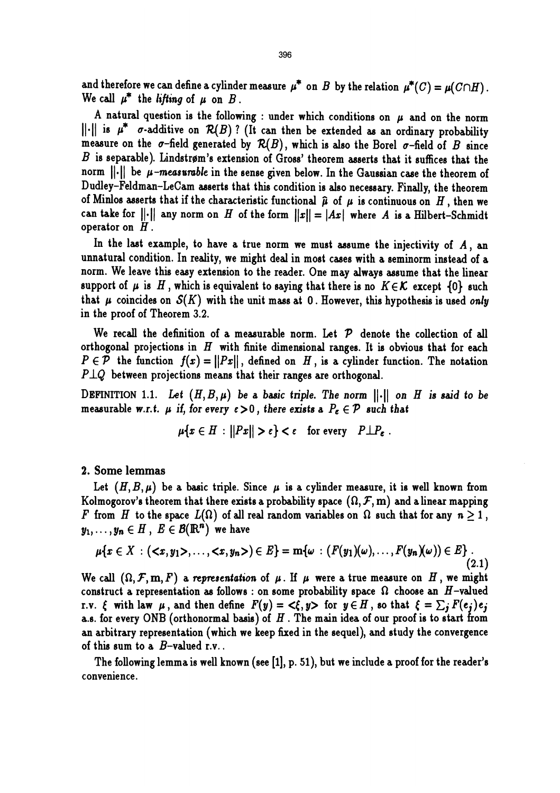and therefore we can define a cylinder measure  $\mu^*$  on B by the relation  $\mu^*(C) = \mu(C \cap H)$ . We call  $\mu^*$  the lifting of  $\mu$  on  $B$ .

A natural question is the following : under which conditions on  $\mu$  and on the norm  $\|\cdot\|$  is  $\mu^*$   $\sigma$ -additive on  $\mathcal{R}(B)$ ? (It can then be extended as an ordinary probability measure on the  $\sigma$ -field generated by  $\mathcal{R}(B)$ , which is also the Borel  $\sigma$ -field of  $B$  since  $B$  is separable). Lindstrøm's extension of Gross' theorem asserts that it suffices that the norm  $\lVert \cdot \rVert$  be  $\mu$ -measurable in the sense given below. In the Gaussian case the theorem of Dudley-Feldman-LeCam asserts that this condition is also necessary. Finally, the theorem of Minlos asserts that if the characteristic functional  $\hat{\mu}$  of  $\mu$  is continuous on H, then we can take for  $||\cdot||$  any norm on H of the form  $||x|| = |Ax|$  where A is a Hilbert-Schmidt operator on  $H$ .

In the last example, to have a true norm we must assume the injectivity of  $A$ , an unnatural condition. In reality, we might deal in most cases with a seminorm instead of a norm. We leave this easy extension to the reader. One may always assume that the linear support of  $\mu$  is H, which is equivalent to saying that there is no  $K \in \mathcal{K}$  except  $\{0\}$  such that  $\mu$  coincides on  $\mathcal{S}(K)$  with the unit mass at 0. However, this hypothesis is used only in the proof of Theorem 3.2.

We recall the definition of a measurable norm. Let  $P$  denote the collection of all orthogonal projections in  $H$  with finite dimensional ranges. It is obvious that for each  $P \in \mathcal{P}$  the function  $f(x) = ||Px||$ , defined on H, is a cylinder function. The notation  $P \perp Q$  between projections means that their ranges are orthogonal.

DEFINITION 1.1. Let  $(H, B, \mu)$  be a basic triple. The norm  $\|\cdot\|$  on H is said to be measurable w.r.t.  $\mu$  if, for every  $\epsilon > 0$ , there exists a  $P_{\epsilon} \in \mathcal{P}$  such that

$$
\mu\{x \in H : ||Px|| > \epsilon\} < \epsilon \quad \text{for every} \quad P \perp P_{\epsilon} .
$$

#### 2. Some lemmas

Let  $(H, B, \mu)$  be a basic triple. Since  $\mu$  is a cylinder measure, it is well known from Kolmogorov's theorem that there exists a probability space  $(\Omega, \mathcal{F}, m)$  and a linear mapping F from H to the space  $L(\Omega)$  of all real random variables on  $\Omega$  such that for any  $n \geq 1$ ,  $y_1, \ldots, y_n \in H$ ,  $E \in \mathcal{B}(\mathbb{R}^n)$  we have

$$
\mu\{x \in X : (,\ldots, \}) \in E\} = m\{\omega : (F(y_1)(\omega),\ldots,F(y_n)(\omega)) \in E\}.
$$
\n(2.1)

We call  $(\Omega, \mathcal{F}, \mathbf{m}, F)$  a representation of  $\mu$ . If  $\mu$  were a true measure on H, we might construct a representation as follows : on some probability space  $\Omega$  choose an H-valued r.v.  $\xi$  with law  $\mu$ , and then define  $F(y) = \langle \xi, y \rangle$  for  $y \in H$ , so that  $\xi = \sum_j F(e_j)e_j$  a.s. for every ONB (orthonormal basis) of H. The main idea of our proof is to start from an arbitrary representation (which we keep fixed in the sequel), and study the convergence of this sum to a  $B$ -valued r.v..

The following lemma is well known (see [1], p. 51), but we include a proof for the reader's convenience.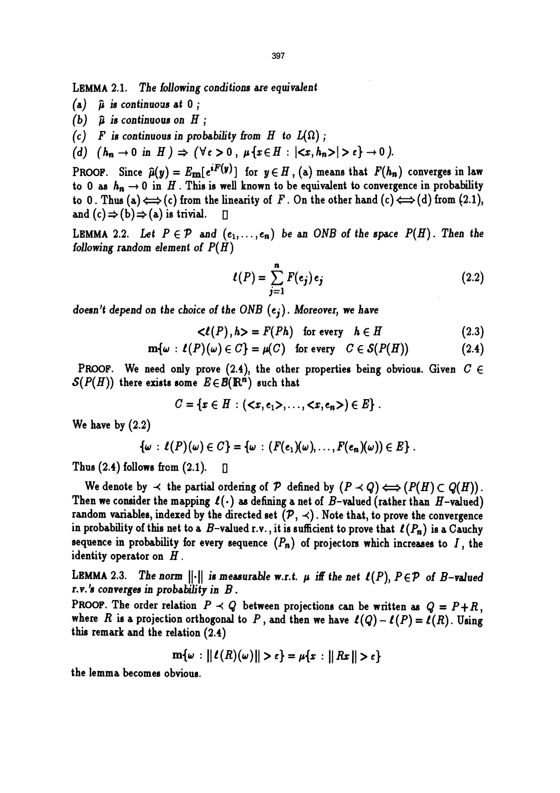LEMMA 2.1. The following conditions are equivalent

- $\hat{\mu}$  is continuous at  $0$ ;  $(a)$
- (b)  $\hat{\mu}$  is continuous on H;
- (c) F is continuous in probability from H to  $L(\Omega)$ ;
- (d)  $(h_n \to 0 \text{ in } H) \Rightarrow (\forall \epsilon > 0, \mu \{x \in H : |\langle x, h_n \rangle| > \epsilon\} \to 0).$

PROOF. Since  $\hat{\mu}(y) = E_{\text{m}}[e^{iF(y)}]$  for  $y \in H$ , (a) means that  $F(h_n)$  converges in law to 0 as  $h_n \to 0$  in H. This is well known to be equivalent to convergence in probability to 0. Thus (a)  $\Longleftrightarrow$  (c) from the linearity of F. On the other hand (c)  $\Longleftrightarrow$  (d) from (2.1), and  $(c) \Rightarrow (b) \Rightarrow (a)$  is trivial.  $\Box$ 

LEMMA 2.2. Let  $P \in \mathcal{P}$  and  $(e_1, \ldots, e_n)$  be an ONB of the space  $P(H)$ . Then the following random element of  $P(H)$ 

$$
l(P) = \sum_{j=1}^{n} F(e_j) e_j
$$
 (2.2)

doesn't depend on the choice of the ONB  $(e_i)$ . Moreover, we have

 $\langle \ell(P), h \rangle = F(Ph)$  for every  $h \in H$  (2.3)

$$
\mathbf{m}{\omega}: \ell(P)(\omega) \in C\} = \mu(C) \quad \text{for every} \quad C \in \mathcal{S}(P(H)) \tag{2.4}
$$

PROOF. We need only prove (2.4), the other properties being obvious. Given  $C \in$  $\mathcal{S}(P(H))$  there exists some  $E \in \mathcal{B}(\mathbb{R}^n)$  such that

 $C = \{x \in H : (\langle x, e_1 \rangle, \ldots, \langle x, e_n \rangle) \in E\}$ .

We have by (2.2)

$$
\{\omega : \ell(P)(\omega) \in C\} = \{\omega : (F(e_1)(\omega), \ldots, F(e_n)(\omega)) \in E\}.
$$

Thus  $(2.4)$  follows from  $(2.1)$ .  $\Box$ 

We denote by  $\prec$  the partial ordering of  $P$  defined by  $(P \prec Q) \Longleftrightarrow (P(H) \subset Q(H))$ . Then we consider the mapping  $\ell(\cdot)$  as defining a net of B-valued (rather than H-valued) random variables, indexed by the directed set  $(\mathcal{P}, \prec)$ . Note that, to prove the convergence in probability of this net to a  $B$ -valued r.v., it is sufficient to prove that  $\ell(P_n)$  is a Cauchy sequence in probability for every sequence  $(P_n)$  of projectors which increases to I, the identity operator on  $H$ .

LEMMA 2.3. The norm  $\|\cdot\|$  is measurable w.r.t.  $\mu$  iff the net  $\ell(P)$ ,  $P \in \mathcal{P}$  of B-valued r.v.'s converges in probability in  $B$ .

PROOF. The order relation  $P \prec Q$  between projections can be written as  $Q = P + R$ , where R is a projection orthogonal to P, and then we have  $\ell(Q) - \ell(P) = \ell(R)$ . Using this remark and the relation (2.4)

$$
\mathbf{m}{\omega:||\ell(R)(\omega)||>\epsilon}=\mu{x:||Rx||>\epsilon}
$$

the lemma becomes obvious.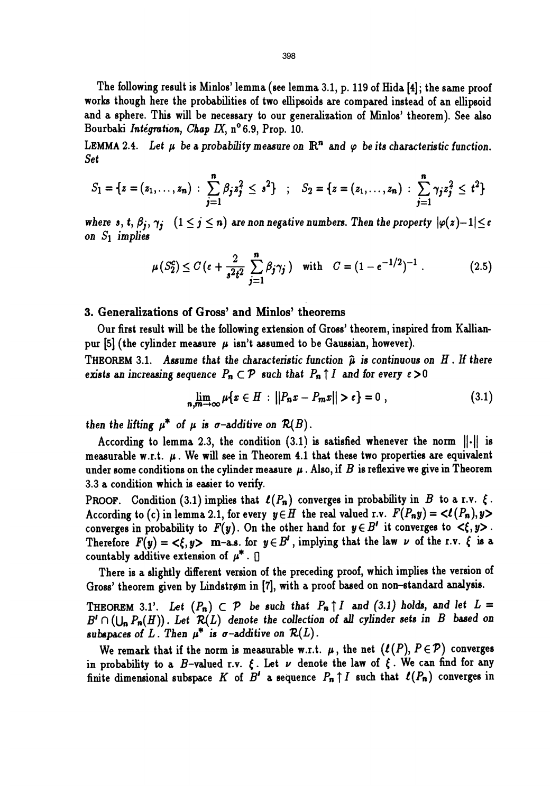The following result is Minlos' lemma (see lemma 3.1, p. 119 of Hida [4]; the same proof works though here the probabilities of two ellipsoids are compared instead of an ellipsoid and a sphere. This will be necessary to our generalization of Minlos' theorem). See also Bourbaki Intégration, Chap IX,  $n^{\circ}$  6.9, Prop. 10.

LEMMA 2.4. Let  $\mu$  be a probability measure on  $\mathbb{R}^n$  and  $\varphi$  be its characteristic function. Set

$$
S_1 = \{z = (z_1, \ldots, z_n) : \sum_{j=1}^n \beta_j z_j^2 \leq s^2\} \quad ; \quad S_2 = \{z = (z_1, \ldots, z_n) : \sum_{j=1}^n \gamma_j z_j^2 \leq t^2\}
$$

where s, t,  $\beta_j$ ,  $\gamma_j$   $(1 \leq j \leq n)$  are non negative numbers. Then the property  $|\varphi(z)-1| \leq \varepsilon$ on  $S_1$  implies

$$
\mu(S_2^c) \le C\left(\epsilon + \frac{2}{s^2 t^2} \sum_{j=1}^n \beta_j \gamma_j\right) \quad \text{with} \quad C = (1 - e^{-1/2})^{-1} \ . \tag{2.5}
$$

#### 3. Generalizations of Gross' and Minlos' theorems

Our first result will be the following extension of Gross' theorem, inspired from Kallianpur [5] (the cylinder measure  $\mu$  isn't assumed to be Gaussian, however).

THEOREM 3.1. Assume that the characteristic function  $\hat{\mu}$  is continuous on H. If there exists an increasing sequence  $P_n \subset \mathcal{P}$  such that  $P_n \uparrow I$  and for every  $\epsilon > 0$ 

$$
\lim_{n,m \to \infty} \mu\{x \in H : ||P_n x - P_m x|| > \epsilon\} = 0 ,
$$
 (3.1)

then the lifting  $\mu^*$  of  $\mu$  is  $\sigma$ -additive on  $\mathcal{R}(B)$ .

According to lemma 2.3, the condition  $(3.1)$  is satisfied whenever the norm  $\|\cdot\|$  is measurable w.r.t.  $\mu$ . We will see in Theorem 4.1 that these two properties are equivalent under some conditions on the cylinder measure  $\mu$ . Also, if B is reflexive we give in Theorem 3.3 a condition which is easier to verify.

PROOF. Condition (3.1) implies that  $\ell(P_n)$  converges in probability in B to a r.v.  $\xi$ . According to (c) in lemma 2.1, for every  $y \in H$  the real valued r.v.  $F(P_n y) = \langle l(P_n), y \rangle$ converges in probability to  $F(y)$ . On the other hand for  $y \in B'$  it converges to  $\langle \xi, y \rangle$ . Therefore  $F(y) = \langle \xi, y \rangle$  m-a.s. for  $y \in B'$ , implying that the law  $\nu$  of the r.v.  $\xi$  is a countably additive extension of  $\mu^*$ .  $\Box$ 

There is a slightly different version of the preceding proof, which implies the version of Gross' theorem given by Lindstrøm in [7], with a proof based on non-standard analysis.

THEOREM 3.1'. Let  $(P_n) \subset \mathcal{P}$  be such that  $P_n \uparrow I$  and (3.1) holds, and let  $L =$  $B' \cap (\bigcup_n P_n(H))$ . Let  $\mathcal{R}(L)$  denote the collection of all cylinder sets in B based on subspaces of L. Then  $\mu^*$  is  $\sigma$ -additive on  $\mathcal{R}(L)$ .

We remark that if the norm is measurable w.r.t.  $\mu$ , the net  $(\ell(P), P \in \mathcal{P})$  converges in probability to a B-valued r.v.  $\xi$ . Let  $\nu$  denote the law of  $\xi$ . We can find for any finite dimensional subspace K of  $B'$  a sequence  $P_n \uparrow I$  such that  $\ell(P_n)$  converges in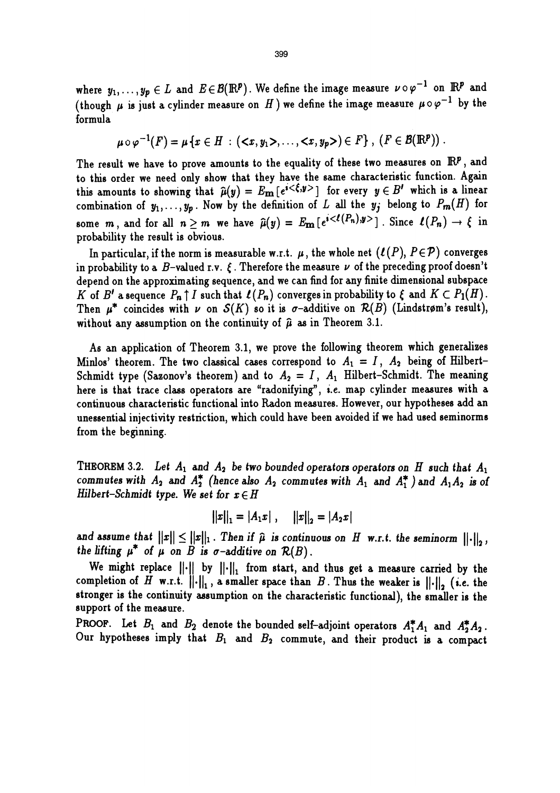where  $y_1, \ldots, y_p \in L$  and  $E \in \mathcal{B}(\mathbb{R}^p)$ . We define the image measure  $\nu \circ \varphi^{-1}$  on  $\mathbb{R}^p$  and (though  $\mu$  is just a cylinder measure on H) we define the image measure  $\mu \circ \varphi^{-1}$  by the formula

$$
\mu \circ \varphi^{-1}(F) = \mu \{x \in H : (\langle x, y_1 \rangle, \ldots, \langle x, y_p \rangle) \in F\}, (F \in \mathcal{B}(\mathbb{R}^p))
$$
.

The result we have to prove amounts to the equality of these two measures on  $\mathbb{R}^p$ , and to this order we need only show that they have the same characteristic function. Again this amounts to showing that  $\hat{\mu}(y) = E_{\mathbf{m}}[e^{i \langle \xi, y \rangle}]$  for every  $y \in B'$  which is a linear combination of  $y_1, \ldots, y_p$ . Now by the definition of L all the  $y_j$  belong to  $P_m(H)$  for some m, and for all  $n \geq m$  we have  $\hat{\mu}(y) = E_{\text{m}}[e^{i \langle \ell(P_n), y \rangle}]$ . Since  $\ell(P_n) \to \ell$  in probability the result is obvious.

In particular, if the norm is measurable w.r.t.  $\mu$ , the whole net  $(\ell(P), P \in \mathcal{P})$  converges in probability to a  $B$ -valued r.v.  $\epsilon$ . Therefore the measure  $\nu$  of the preceding proof doesn't depend on the approximating sequence, and we can find for any finite dimensional subspace K of B' a sequence  $P_n \uparrow I$  such that  $\ell(P_n)$  converges in probability to  $\xi$  and  $K \subset P_1(H)$ . Then  $\mu^*$  coincides with  $\nu$  on  $S(K)$  so it is  $\sigma$ -additive on  $\mathcal{R}(B)$  (Lindstrøm's result), without any assumption on the continuity of  $\hat{\mu}$  as in Theorem 3.1.

As an application of Theorem 3.1, we prove the following theorem which generalizes Minlos' theorem. The two classical cases correspond to  $A_1 = I$ ,  $A_2$  being of Hilbert-Schmidt type (Sazonov's theorem) and to  $A_2 = I$ ,  $A_1$  Hilbert-Schmidt. The meaning here is that trace class operators are "radonifying", i.e. map cylinder measures with a continuous characteristic functional into Radon measures. However, our hypotheses add an unessential injectivity restriction, which could have been avoided if we had used seminorms from the beginning.

THEOREM 3.2. Let  $A_1$  and  $A_2$  be two bounded operators operators on H such that  $A_1$ commutes with  $A_2$  and  $A_2^*$  (hence also  $A_2$  commutes with  $A_1$  and  $A_1^*$ ) and  $A_1A_2$  is of Hilbert-Schmidt type. We set for  $x \in H$ 

$$
||x||_1 = |A_1x|, \quad ||x||_2 = |A_2x|
$$

and assume that  $||x|| \le ||x||_1$ . Then if  $\hat{\mu}$  is continuous on H w.r.t. the seminorm  $||\cdot||_2$ , the lifting  $\mu^*$  of  $\mu$  on B is  $\sigma$ -additive on  $\mathcal{R}(B)$ .

We might replace  $||\cdot||$  by  $||\cdot||_1$  from start, and thus get a measure carried by the completion of H w.r.t.  $\|\cdot\|_1$ , a smaller space than B. Thus the weaker is  $\|\cdot\|_2$  (i.e. the stronger is the continuity assumption on the characteristic functional), the smaller is the support of the measure.

PROOF. Let  $B_1$  and  $B_2$  denote the bounded self-adjoint operators  $A_1^*A_1$  and  $A_2^*A_2$ . Our hypotheses imply that  $B_1$  and  $B_2$  commute, and their product is a compact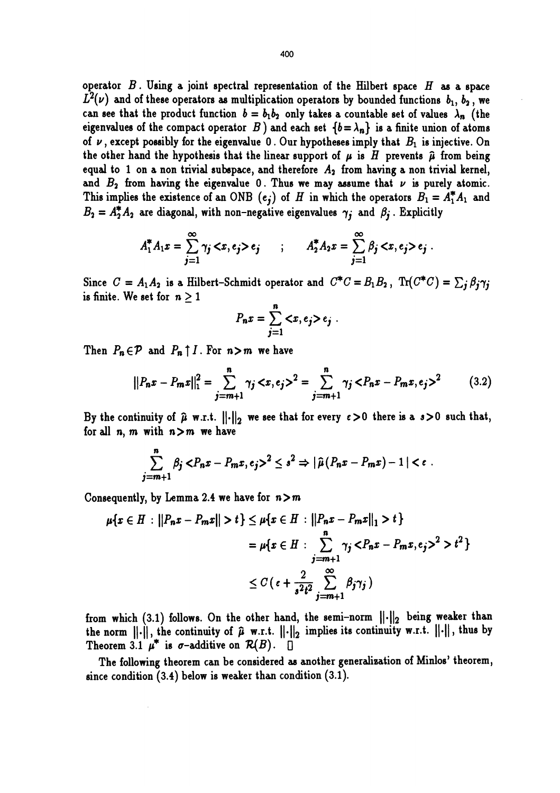operator  $B$ . Using a joint spectral representation of the Hilbert space  $H$  as a space  $L^2(\nu)$  and of these operators as multiplication operators by bounded functions  $b_1, b_2$ , we can see that the product function  $b = b_1b_2$  only takes a countable set of values  $\lambda_n$  (the eigenvalues of the compact operator B) and each set  ${b = \lambda_n}$  is a finite union of atoms of  $\nu$ , except possibly for the eigenvalue 0. Our hypotheses imply that  $B_1$  is injective. On the other hand the hypothesis that the linear support of  $\mu$  is H prevents  $\hat{\mu}$  from being equal to 1 on a non trivial subspace, and therefore  $A_2$  from having a non trivial kernel, and  $B_2$  from having the eigenvalue 0. Thus we may assume that  $\nu$  is purely atomic. This implies the existence of an ONB  $(e_j)$  of H in which the operators  $B_1 = A_1^* A_1$  and  $B_2 = A_2^* A_2$  are diagonal, with non-negative eigenvalues  $\gamma_i$  and  $\beta_i$ . Explicitly

$$
A_1^* A_1 x = \sum_{j=1}^{\infty} \gamma_j < x, e_j > e_j \qquad ; \qquad A_2^* A_2 x = \sum_{j=1}^{\infty} \beta_j < x, e_j > e_j \; .
$$

Since  $C = A_1A_2$  is a Hilbert-Schmidt operator and  $C^*C = B_1B_2$ ,  $Tr(C^*C) = \sum_i \beta_i \gamma_i$ is finite. We set for  $n \geq 1$ 

$$
P_n x = \sum_{j=1}^n \langle x, e_j \rangle e_j.
$$

Then  $P_n \in \mathcal{P}$  and  $P_n \uparrow I$ . For  $n > m$  we have

$$
||P_n x - P_m x||_1^2 = \sum_{j=m+1}^n \gamma_j \langle x, e_j \rangle^2 = \sum_{j=m+1}^n \gamma_j \langle P_n x - P_m x, e_j \rangle^2 \qquad (3.2)
$$

By the continuity of  $\hat{\mu}$  w.r.t.  $\left\|\cdot\right\|_2$  we see that for every  $\epsilon > 0$  there is a  $s > 0$  such that, for all  $n, m$  with  $n>m$  we have

$$
\sum_{j=m+1}^{n} \beta_j \langle P_n x - P_m x, e_j \rangle^2 \leq s^2 \Rightarrow |\widehat{\mu}(P_n x - P_m x) - 1| < \epsilon
$$

Consequently, by Lemma 2.4 we have for  $n>m$ 

$$
\mu\{x \in H : ||P_n x - P_m x|| > t\} \le \mu\{x \in H : ||P_n x - P_m x||_1 > t\}
$$
  
=  $\mu\{x \in H : \sum_{j=m+1}^{n} \gamma_j < P_n x - P_m x, e_j >^2 > t^2\}$   
 $\le C\left(c + \frac{2}{s^2 t^2} \sum_{j=m+1}^{\infty} \beta_j \gamma_j\right)$ 

from which (3.1) follows. On the other hand, the semi-norm  $\lVert \cdot \rVert_2$  being weaker than the norm  $||\cdot||$ , the continuity of  $\hat{\mu}$  w.r.t.  $||\cdot||_2$  implies its continuity w.r.t.  $||\cdot||$ , thus by Theorem 3.1  $\mu^*$  is  $\sigma$ -additive on  $\mathcal{R}(B)$ .  $\Box$ 

The following theorem can be considered as another generalization of Minlos' theorem, , since condition (3.4) below is weaker than condition (3.1).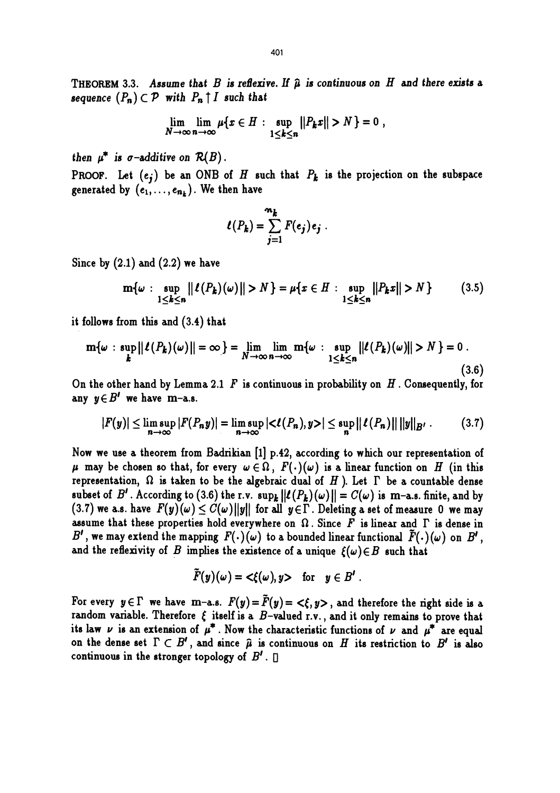THEOREM 3.3. Assume that B is reflexive. If  $\hat{\mu}$  is continuous on H and there exists a sequence  $(P_n) \subset \mathcal{P}$  with  $P_n \uparrow I$  such that

$$
\lim_{N \to \infty} \lim_{n \to \infty} \mu\{x \in H : \sup_{1 \le k \le n} ||P_k x|| > N\} = 0,
$$

then  $\mu^*$  is  $\sigma$ -additive on  $\mathcal{R}(B)$ .

PROOF. Let  $(e_i)$  be an ONB of H such that  $P_k$  is the projection on the subspace generated by  $(e_1, \ldots, e_{n_k})$ . We then have

$$
\ell(P_k) = \sum_{j=1}^{m_k} F(e_j) e_j.
$$

Since by  $(2.1)$  and  $(2.2)$  we have

$$
\mathbf{m}\{\omega : \sup_{1 \leq k \leq n} ||\ell(P_k)(\omega)|| > N\} = \mu\{x \in H : \sup_{1 \leq k \leq n} ||P_k x|| > N\}
$$
(3.5)

it follows from this and (3.4) that

$$
\mathbf{m}\{\omega : \sup_{\mathbf{k}} ||\ell(P_{\mathbf{k}})(\omega)|| = \infty\} = \lim_{N \to \infty} \lim_{n \to \infty} \mathbf{m}\{\omega : \sup_{1 \leq \mathbf{k} \leq n} ||\ell(P_{\mathbf{k}})(\omega)|| > N\} = 0.
$$
\n(3.6)

On the other hand by Lemma 2.1  $F$  is continuous in probability on  $H$ . Consequently, for any  $y \in B'$  we have m-a.s.

$$
|F(y)| \leq \limsup_{n \to \infty} |F(P_n y)| = \limsup_{n \to \infty} |\langle \ell(P_n), y \rangle| \leq \sup_n ||\ell(P_n)|| \, ||y||_{B'} \qquad (3.7)
$$

Now we use a theorem from Badrikian [1] p.42, according to which our representation of  $\mu$  may be chosen so that, for every  $\omega \in \Omega$ ,  $F(\cdot)(\omega)$  is a linear function on H (in this representation,  $\Omega$  is taken to be the algebraic dual of  $H$  ). Let  $\Gamma$  be a countable dense subset of  $B'$ . According to (3.6) the r.v.  $\sup_k ||\ell(P_k)(\omega)|| = C(\omega)$  is m-a.s. finite, and by (3.7) we a.s. have  $F(y)(\omega) \leq C(\omega) ||y||$  for all  $y \in \Gamma$ . Deleting a set of measure 0 we may assume that these properties hold everywhere on  $\Omega$ . Since F is linear and  $\Gamma$  is dense in B', we may extend the mapping  $F(\cdot)(\omega)$  to a bounded linear functional  $\tilde{F}(\cdot)(\omega)$  on  $B'$ , and the reflexivity of B implies the existence of a unique  $\{\omega\} \in B$  such that

$$
\tilde{F}(y)(\omega) = \langle \xi(\omega), y \rangle \quad \text{for} \quad y \in B' .
$$

For every  $y \in \Gamma$  we have m-a.s.  $F(y) = \tilde{F}(y) = \langle \xi, y \rangle$ , and therefore the right side is a random variable. Therefore  $\xi$  itself is a B-valued r.v., and it only remains to prove that its law  $\nu$  is an extension of  $\mu^*$ . Now the characteristic functions of  $\nu$  and  $\mu^*$  are equal on the dense set  $\Gamma \subset B'$ , and since  $\hat{\mu}$  is continuous on  $H$  its restriction to  $B'$  is also continuous in the stronger topology of  $B'$ .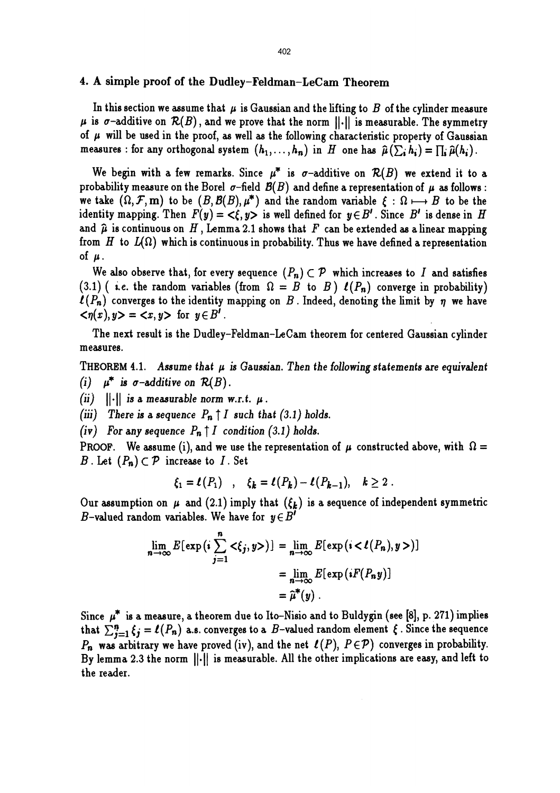### 4. A simple proof of the Dudley-Feldman-LeCam Theorem

In this section we assume that  $\mu$  is Gaussian and the lifting to B of the cylinder measure  $\mu$  is  $\sigma$ -additive on  $\mathcal{R}(B)$ , and we prove that the norm  $\|.\|$  is measurable. The symmetry of  $\mu$  will be used in the proof, as well as the following characteristic property of Gaussian measures : for any orthogonal system  $(h_1, \ldots, h_n)$  in H one has  $\hat{\mu}(\sum_i h_i) = \prod_i \hat{\mu}(h_i)$ .

We begin with a few remarks. Since  $\mu^*$  is  $\sigma$ -additive on  $\mathcal{R}(B)$  we extend it to a probability measure on the Borel  $\sigma$ -field  $\mathcal{B}(B)$  and define a representation of  $\mu$  as follows: we take  $(\Omega, \mathcal{F}, \mathbf{m})$  to be  $(B, \mathcal{B}(B), \mu^*)$  and the random variable  $\xi : \Omega \longmapsto B$  to be the identity mapping. Then  $F(y) = \langle \xi, y \rangle$  is well defined for  $y \in B'$ . Since  $B'$  is dense in H and  $\hat{\mu}$  is continuous on H, Lemma 2.1 shows that F can be extended as a linear mapping from H to  $L(\Omega)$  which is continuous in probability. Thus we have defined a representation of  $\mu$ .

We also observe that, for every sequence  $(P_n) \subset \mathcal{P}$  which increases to I and satisfies (3.1) ( i.e. the random variables (from  $\Omega = B$  to  $B$ )  $\ell(P_n)$  converge in probability)  $\ell(P_n)$  converges to the identity mapping on B. Indeed, denoting the limit by  $\eta$  we have  $\langle \eta(x), y \rangle = \langle x, y \rangle$  for  $y \in B'$ .

The next result is the Dudley-Feldman-LeCam theorem for centered Gaussian cylinder measures.

THEOREM 4.1. Assume that  $\mu$  is Gaussian. Then the following statements are equivalent (i)  $\mu^*$  is  $\sigma$ -additive on  $\mathcal{R}(B)$ .

(ii)  $||\cdot||$  is a measurable norm w.r.t.  $\mu$ .

(iii) There is a sequence  $P_n \uparrow I$  such that (3.1) holds.

(iv) For any sequence  $P_n \uparrow I$  condition (3.1) holds.

PROOF. We assume (i), and we use the representation of  $\mu$  constructed above, with  $\Omega =$ B. Let  $(P_n) \subset \mathcal{P}$  increase to I. Set

$$
\xi_1 = \ell(P_1) \quad , \quad \xi_k = \ell(P_k) - \ell(P_{k-1}), \quad k \geq 2 \; .
$$

Our assumption on  $\mu$  and (2.1) imply that  $({\xi_k})$  is a sequence of independent symmetric B-valued random variables. We have for  $y \in B'$ 

$$
\lim_{n \to \infty} E[\exp(i \sum_{j=1}^{n} \langle \xi_j, y \rangle)] = \lim_{n \to \infty} E[\exp(i \langle \ell(P_n), y \rangle)]
$$

$$
= \lim_{n \to \infty} E[\exp(iF(P_n y))]
$$

$$
= \hat{\mu}^*(y).
$$

Since  $\mu^*$  is a measure, a theorem due to Ito-Nisio and to Buldygin (see [8], p. 271) implies that  $\sum_{i=1}^{n} \xi_i = \ell(P_n)$  a.s. converges to a B-valued random element  $\xi$ . Since the sequence  $P_n$  was arbitrary we have proved (iv), and the net  $\ell(P)$ ,  $P \in \mathcal{P}$ ) converges in probability. By lemma 2.3 the norm  $\lVert \cdot \rVert$  is measurable. All the other implications are easy, and left to the reader.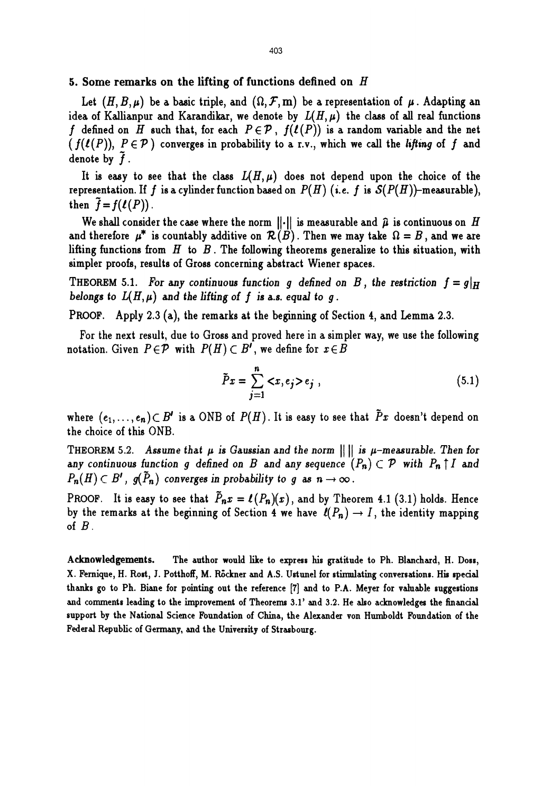#### 5. Some remarks on the lifting of functions defined on  $H$

Let  $(H, B, \mu)$  be a basic triple, and  $(\Omega, \mathcal{F}, m)$  be a representation of  $\mu$ . Adapting an idea of Kallianpur and Karandikar, we denote by  $L(H, \mu)$  the class of all real functions f defined on H such that, for each  $P\in\mathcal{P}$ ,  $f(\ell(P))$  is a random variable and the net  $(f(f(P)), P \in \mathcal{P})$  converges in probability to a r.v., which we call the lifting of f and denote by  $f$ .

It is easy to see that the class  $L(H, \mu)$  does not depend upon the choice of the representation. If f is a cylinder function based on  $P(H)$  (i.e. f is  $S(P(H))$ -measurable), then  $\tilde{f} = f(\ell(P))$ .

We shall consider the case where the norm  $||\cdot||$  is measurable and  $\hat{\mu}$  is continuous on H and therefore  $\mu^*$  is countably additive on  $\mathcal{R}(B)$ . Then we may take  $\Omega = B$ , and we are lifting functions from  $H$  to  $B$ . The following theorems generalize to this situation, with simpler proofs, results of Gross concerning abstract Wiener spaces.

THEOREM 5.1. For any continuous function g defined on B, the restriction  $f = g|_H$ belongs to  $L(H, \mu)$  and the lifting of f is a.s. equal to g.

PROOF. Apply 2.3 (a), the remarks at the beginning of Section 4, and Lemma 2.3.

For the next result, due to Gross and proved here in a simpler way, we use the following notation. Given  $P \in \mathcal{P}$  with  $P(H) \subset B'$ , we define for  $x \in B$ 

$$
\tilde{P}x = \sum_{j=1}^{n} \langle x, e_j \rangle e_j , \qquad (5.1)
$$

where  $(e_1, \ldots, e_n) \subset B'$  is a ONB of  $P(H)$ . It is easy to see that  $\tilde{P}x$  doesn't depend on the choice of this ONB.

THEOREM 5.2. Assume that  $\mu$  is Gaussian and the norm  $\|\cdot\|$  is  $\mu$ -measurable. Then for any continuous function g defined on B and any sequence  $(P_n) \subset \mathcal{P}$  with  $P_n \uparrow I$  and  $P_n(H) \subset B'$ ,  $g(\tilde{P}_n)$  converges in probability to g as  $n \to \infty$ .

PROOF. It is easy to see that  $\tilde{P}_n x = \ell(P_n)(x)$ , and by Theorem 4.1 (3.1) holds. Hence by the remarks at the beginning of Section 4 we have  $\ell(P_n) \to I$ , the identity mapping of  $B$ .

Acknowledgements. The author would like to express his gratitude to Ph. Blanchard, H. Doss, X. Femique, H. Rost, J. Potthoff, M. Rockner and A.S. Ustunel for stimulating conversations. His special thanks go to Ph. Biane for pointing out the reference [7] and to P.A. Meyer for valuable suggestions and comments leading to the improvement of Theorems 3.1' and 3.2. He also acknowledges the financial support by the National Science Foundation of China, the Alexander von Humboldt Foundation of the Federal Republic of Germany, and the University of Strasbourg.